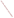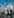

Œ

**LNE DOCUMENT** 

Office of Transportation and Air Quality

EPA420-R-04-016 October 2004

**Safety and Security Analysis: Safety and Security Analysis: Investigative Report by NASA on Proposed EPA Hydrogen-Powered Vehicle Fueling Station Investigative Report by NASA on Proposed EPA Hydrogen-Powered Vehicle Fueling Station**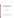EPA420-R-04-016 October 2004

# **Safety and Security Analysis: Investigative Report by NASA on Proposed EPA Hydrogen-Powered Vehicle Fueling Station**

Assessment and Standards Division Office of Transportation and Air Quality U.S. Environmental Protection Agency

*NOTICE*

*This Technical Report does not necessarily represent final EPA decisions or positions. It is intended to present technical analysis of issues using data that are currently available. The purpose in the release of such reports is to facilitate an exchange of technical information and to inform the public of technical developments.*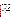With the exception of minor changes, this Report is identical to National Aeronautics and Space Administration Report No. WSTF-IR-0184-001-03, titled "Environmental Protection Agency Hazard Analysis Report" and prepared for EPA by Stephen Woods, Harold Beeson, and Harry Johnson of NASA Johnson Space Center White Sands Test Facility, Las Cruces, NM, (September 19, 2003). The Report was prepared under Interagency Agreement No. DW809 39 802-01-0

### PREFACE

EPA's Office of Transportation and Air Quality commissioned NASA (National Aeronautics and Space Administration) to prepare this technical report in support of the Agency's hydrogen and fuel cell program. EPA's program is a part of the federal government's efforts to encourage the development and testing of new technologies that may define a path toward an international hydrogen economy. A key component of the EPA program is a unique partnership with DaimlerChrysler and UPS that is placing fuel cell powered package delivery vehicles into normal commercial service in the region surrounding EPA's National Vehicle and Fuel Emissions Laboratory in Ann Arbor, Michigan. EPA is installing a state of the art hydrogen vehicle fueling station at its laboratory that will provide the hydrogen fuel for the fuel cell delivery vehicles and for other hydrogen vehicles that may be operated in Southeast Michigan.

Because of the newness of hydrogen as a fuel and because this is the first hydrogen fueling station to be installed at a federal facility, it was necessary to very carefully consider each aspect of this project for a number of factors, including safety and security. NASA has extensive experience with the handling and use of hydrogen, and EPA commissioned NASA to address a wide range of issues relating to system safety, security, and siting. This report identifies issues, discusses them, and makes recommendations. EPA has incorporated essentially all of NASA's recommendations in the siting and design of our hydrogen fueling station.

While this report focuses on a specific type of hydrogen fueling station at a specific location, we recognized at the onset that issues applying to the NVFEL setting and facility are much the same as those applying to other federal and private facilities. Thus, this report is designed to be of sufficient scope to have broad applicability, and we believe that the information NASA has assembled and the analysis they have performed will be of interest to others considering working with hydrogen as a fuel. The report will be particularly useful to parties proposing to site such fueling stations in close proximity to commercial or residential property or as a part of federal facilities.

This report represents a significant initial component of a larger comprehensive body of materials that EPA expects to compile and distribute documenting our experience with hydrogen fueling infrastructure and the use of hydrogen. Readers will find additional information on EPA's hydrogen and fuel cell program at www.epa.gov/fuelcell.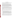This report addresses primary safety and siting issues associated with the installation of cryogenic liquid and high-pressure gaseous hydrogen systems in proximity to a laboratory facility, commercial facilities, a shopping mall, and public thoroughfares.

The U.S. Environmental Protection Agency (EPA) National Vehicle and Fuel Emissions Laboratory (NVFEL), located in Ann Arbor, Michigan, tests experimental and state-of-the-art vehicles for emissions and fuel economy. Preparations for a program to evaluate a hydrogen-powered medium-duty delivery truck and other hydrogen-powered vehicles necessitate the construction of a vehicle-fueling facility able to dispense up to 40 kg of hydrogen per day. The bulk of the hydrogen (1500 gal) is to be stored in a conventional pressurized cryogenic tank designed to American Society of Mechanical Engineers standards. The hydrogen vehicle fuel is to be dispensed as a gas at ambient temperatures into 5000-psi vehicle fuel tanks. This facility must coexist safely with existing hazardous materials and operations at NVFEL, and must not pose unacceptable hazards to nearby commercial concerns.

Facility siting locations and hazards for the proposed design were evaluated according to aerospace and commercial practice by specialists from the NASA White Sands Test Facility. An important design consideration for a potentially hazardous facility is the selection of the facility location. Although there is a low probability for a catastrophic occurrence, selecting a site that will minimize the effects of such an event is prudent. This document summarizes the potential for catastrophic hazards arising from the operation of the EPA proposed hydrogen dispensing station on the EPA site.

Categories of causes and severity were established for equipment failure, operational error, and the effects of attack or sabotage under weather conditions expected in Michigan. Three regions with separate safety implications were identified, as follows, to best mitigate the identified hazards:

- 1. The region in the immediate vicinity of the equipment should be secure and exclude all but maintenance personnel, to protect personnel from small leaks.
- 2. An exclusion zone in the immediate area of the facility, as by defined according to the National Fire Protection Association (NFPA) 50B, can be adopted to provide protection against unplanned minor releases of hydrogen and shrapnel. This exclusion zone requires 75 ft of separation. Personnel within the NFPA exclusion zone will typically be fuel suppliers, maintenance workers, or dispenser operators who are specifically trained to use the dispensing system equipment. General personnel and the public are not under this category.
- 3. An additional margin, as large as 175 ft for the 1500-gal quantities planned, is necessary to protect against a large, potentially catastrophic release of hydrogen, despite its unlikely ocurrence.

For the purposes of this study, a catastrophic event is one that has the potential to extensively threaten facilities, general personnel, or the public beyond the immediate area of the dispensing station. While there are many ways the dispensing system might fail or be assaulted, only failures or assaults that can release a large portion of the stored liquid hydrogen, or assaults that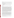completely sever pieces of the high pressure system, stand to present a threat beyond the NFPA exclusion zone.

The planned hydrogen dispensing system will store approximately 1500 gal of liquid hydrogen and possess three high-pressure gas cylinder assemblies, each with approximately 18 ft<sup>3</sup> of 6000psi hydrogen for "ready" dispensing to vehicles. The WSTF analysis has identified two general scenarios for catastrophic events:

- 1. Any component failure or attack/sabotage which leads to a spill of a significant portion of the liquid hydrogen storage
- 2. Violent attack/sabotage capable of completely severing pieces from the high-pressure assemblies

Summaries for assessment of the two scenarios are provided in the following paragraphs:

#### First Scenario

Assessment for the first scenario was for spills of  $1500 \text{ gal}^1$ , a worst-case event, under various weather conditions. In general, the spilled liquid hydrogen, a cryogenic liquid, rapidly vaporizes and mixes with air, forming a flammable mixture. Initially, the mixture stays on the ground with the cold hydrogen vapors that are denser than air; but as the hydrogen warms, the mixture becomes buoyant and soon rises. The potential for a catastrophic scenario can arise if the flammable mixture impinges upon public spaces and surrounding structures. Weather conditions that would contribute to hazards beyond the NFPA exclusion zone include wind conditions near 8 mph or greater. Under these circumstances, the flammable mixtures can be borne beyond the NFPA 75-ft exclusion zone. Analysis based on WSTF liquid hydrogen spill data and combined with TRACE TM<sup>2</sup>, an industrial code for the evaluation of the movement of flammable mixtures, shows flammable mixtures will likely rise 30 ft or more over the nearest surrounding structures. The closest approach of flammable mixtures to structures was found for wind velocities near 8 mph. The primary hazard is for ignition of the plume and an ensuing flash fire out in the open. The amount of thermal radiation could burn exposed personnel caught between the NFPA exclusion zone and adjacent structures, but is unlikely to set structures on fire or threaten the general public beyond the structures. This threat is short term and will last only several minutes while the cloud passes overhead. Without ignition, the further rise of flammable cloud and its continued dispersion will lead to dissipation of the hazard.

A variety of conditions were evaluated and found not to lead to catastrophic scenarios. Low wind speeds (4 mph or less) and low outdoor temperatures result in rapid rise of the flammable mixtures. High wind speeds dissipate the hydrogen rapidly. While some portions of the flammable clouds will possess mixtures with hydrogen-air concentrations that are detonable, the large energies necessary to initiate detonation are not available after the mixtures form. The hydrogen dispenser is sited away from buildings and constructed without confining surfaces or walls. Should a combustible cloud form and be ignited, the resulting deflagration will not produce significant overpressures or accelerate into a detonation. Moreover, if the hydrogen dispensing system were breached, the likely outcome would be a fire located within the NFPA exclusion area. This in itself will prevent a catastrophic situation from developing.

<sup>1</sup> Analysis was performed for 1500-gal quantities of liquid hydrogen. Recent communications with Air Products system designers indicate that the tank that is actually installed may have a slightly larger capacity, but the fill point may be set to less than 1500 gal of liquid hydrogen.<br><sup>2</sup> TRACETM (Toxic Release Analysis of Chemical Emissions) SAFER Systems, L.L.C., Camarillo, California.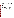#### Second Scenario

Should an explosive charge strike the pressure assembly in such a way that a cylinder is simultaneously freed from the assembly and opened on an end, analysis indicates the component could move with sufficient velocity to clear the NFPA exclusion zone and pose lethal danger to everything in its path.

This is a theoretical result obtained using the PVHAZARD code.<sup>3</sup> It requires precise application of an explosive force. The high-pressure portions of the system are built to ASME specifications and are fairly tough and not likely to be severed easily; therefore, this is a highly unlikely outcome. Small pieces of shrapnel confined to the NFPA exclusion zone are the most likely result.

### Conclusions and Recommendations

In summary, the primary catastrophic hazard is a large release of liquid hydrogen that forms a large flammable cloud. The cloud can extend over the surrounding facilities and, if ignited, could expose the surroundings to a flash-fire threat. Analysis shows that the cloud is likely to rise above the surrounding facilities and harmlessly dissipate. The WSTF report evaluates the potential outcomes that arise from the release of hydrogen. No attempt is made to numerically determine risk. It was determined that the best course is to promote the hydrogen to rise as quickly as possible. An infrastructure incorporating a spill pond with gravel and a vapor barrier is recommended.

Safety information and training must be coordinated as necessary with NVFEL personnel, non-NVFEL personnel that may work in proximity to the dispensing system, the Fire Marshall and first responders, and local authorities.

With these precautions observed, the analysis supports the contention that the hydrogen hazards accompanying the operation of a hydrogen dispensing station would not pose a risk greater than the materials and operations already present at NVFEL.

The PVHAZARD Pressure Vessel Hazard Assessment Software was sponsored by the Air Force (45th Space Wing, PAFB) and NASA, with contributions by General Physics Corporation, ACTA, Inc., and Aerospace Corporation.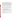### **Abstract**

This report addresses primary safety and siting issues associated with the installation of cryogenic liquid and high-pressure gaseous hydrogen systems in proximity to a laboratory facility, commercial facilities, a shopping mall, and public thoroughfares. The US Environmental Protection Agency National Vehicle and Fuel Emissions Laboratory (NVFEL), located in Ann Arbor, Michigan, tests experimental and state-of-the-art vehicles for emissions and fuel economy. Preparations for a program to evaluate a hydrogen-powered medium-duty delivery truck and other hydrogen vehicles necessitate the construction of a vehicle-fueling facility able to dispense up to 40 kg of hydrogen per day. The bulk of the hydrogen (1500 gal) is to be stored in a conventional pressurized cryogenic tank designed to American Society of Mechanical Engineers standards. The hydrogen vehicle fuel is to be dispensed as a gas at ambient temperatures into 5000-psi vehicle fuel tanks. This facility must coexist safely with existing hazardous materials and operations at NVFEL, and must not pose unacceptable hazards to nearby commercial concerns.

Facility siting locations and hazards for the proposed design were evaluated according to aerospace and commercial practice by specialists from the NASA White Sands Test Facility. Categories of causes and severity were established for equipment failure, operational error, and the effects of attack or sabotage under weather conditions expected in Michigan. Three regions with separate safety implications were identified, as follows, to best mitigate the identified hazards:

- 1. The region in the immediate vicinity of the equipment should be secure and exclude all but maintenance personnel, to protect personnel from small leaks.
- 2. An exclusion zone, as specified by NFPA 50B, can be adopted to provide protection against unplanned minor releases of hydrogen and shrapnel.
- 3. An additional margin, as large as 175 feet for the 1500-gal quantities planned, is necessary to protect against a large release of hydrogen, despite its unlikely occurrence. The primary threat from such an event is a flash fire. The best course is to promote the hydrogen to rise as quickly as possible. An infrastructure incorporating a spill pond with gravel and a vapor barrier is recommended.

Safety information and training must be coordinated as necessary with NVFEL personnel, non-NVFEL personnel that may work in proximity to the dispensing system, the Fire Marshall and first responders, and local authorities.

With these precautions observed, the analysis supports the contention that the hydrogen hazards accompanying the operation of a hydrogen dispensing station would not pose a risk greater than the materials and operations already present at NVFEL.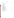# **Contents**

| Section                                    | Page          |
|--------------------------------------------|---------------|
|                                            |               |
| <b>Executive Summary</b>                   | ii            |
| <b>Abstract</b>                            | $\mathbf{V}$  |
| <b>Abbreviations</b>                       | vii           |
| <b>1.0 Introduction</b>                    | 1             |
| 1.1 Background                             | $\mathbf{1}$  |
| 1.2 Scope                                  | 1             |
| <b>2.0 Study of Failure Scenarios</b>      | 3             |
| 2.1 Analysis Approach                      | 3             |
| 2.2 Categorization of Hazard Zones         | $\frac{3}{3}$ |
| 2.3 Analysis of Hazards                    |               |
| 2.4 Analysis of Released Hydrogen          | 11            |
| <b>3.0 Conceptual Siting Design</b>        | 19            |
| 3.1 General Requirements Review            | 19            |
| 3.2 Code Requirements Review               | 19            |
| 3.3 Siting Review                          | 21            |
| <b>4.0 Conclusions and Recommendations</b> | 22            |
| <b>References</b>                          | 23            |
| <b>Bibliography</b>                        | 25            |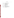| American Society of Mechanical Engineers            |
|-----------------------------------------------------|
| Air Products and Chemicals, Inc.                    |
| <b>Boiling Liquid Expanding Vapor Explosion</b>     |
| <b>Compressed Gas Association</b>                   |
| <b>US Department of Defense</b>                     |
| <b>US Environmental Protection Agency</b>           |
| Gaseous Hydrogen (pressurized)                      |
| Liquid Hydrogen (cryogenic)                         |
| Minimum Ignition Energy                             |
| MilliJoule                                          |
| National Fire Protection Association                |
| National Vehicle and Fuel Emissions Laboratory      |
| Occupational Safety and Health Administration       |
| Personal Protective Equipment                       |
| <b>Toxic Release Analysis of Chemical Emissions</b> |
| <b>White Sands Test Facility</b>                    |
|                                                     |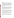### **1.0 Introduction**

The United States Environmental Protection Agency (EPA) National Vehicle and Fuel Emissions Laboratory (NVFEL) located in Ann Arbor, Michigan, is developing the means to demonstrate and test hydrogen-powered vehicles. A hydrogen-powered vehicle fueling station is planned for operation in 2004. However, on-site storage of cryogenic liquid and high-pressure gaseous hydrogen presents serious technical, safety, and security challenges that must be addressed before actual work on the project can begin. The station, located on the NVFEL facility, will have neighboring industry laboratories and commercial concerns and will be in proximity to public thoroughfares. Safety issues in the handling and storage of hydrogen, as well as the consequences of terrorist attack, must be examined. NVFEL requested engineering support services from NASA White Sands Test Facility (NASA WSTF) to evaluate safety issues for the planned hydrogen dispensing station.

### **1.1 Background**

The EPA NVFEL in Ann Arbor tests experimental and state-of-the-art vehicles for emissions and fuel economy. Recent developments in fuel cell technology have required an expansion of test capabilities to include fueling and testing of new hydrogen-powered vehicles. Preparations for a new hydrogen-powered, medium-duty delivery truck test program necessitate the construction of a vehicle-fueling site capable of dispensing up to 40 kg of hydrogen per day. The bulk of the hydrogen will be stored as liquid in a pressurized cryogenic tank holding approximately 1500 gal, or 60 fills. Hydrogen vehicle fuel will then be dispensed as a gas at ambient temperatures into 5000-psi vehicle fuel tanks.

### **1.2 Scope**

The work consisted of engineering services in support of the installation of a hydrogen-powered vehicle fueling station at the NVFEL. The primary task was to develop siting plans and concept design options based on 1500 gal of liquid storage and high-pressure cylinders for gas storage. Review services were also required to assist EPA with proposed vendor layout and equipment designs and with the resolution of any National Environmental Policy Act and permitting issues that could arise in the planning process. EPA provided site drawings for the NVFEL and technical specifications for the proposed equipment, as necessary.

Accomplishing the project objectives included multiple site visits for measurements, verification, communication, training, analysis, and planning review. Engineering services included site assessment, code review, detailed equipment and process hazard analyses, assault mode identification, catastrophic failure characterization, and development of alternative mitigation strategies.

NASA WSTF developed a draft siting and hazards analysis for the fueling station based on a typical Air Products and Chemicals, Inc. (APCI) 1500-gal liquid hydrogen (LH2) storage and dispensing station, design developed for the California Fuel Cell Partnership. The draft analysis incorporated the results of: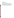- o Preparatory work
- o EPA facility site visit
- o Review of code requirements
- o Hazard analysis of component and operational failures
- o Hazard analysis of catastrophic failures

NASA WSTF presented the draft report, along with the underlying safety and security analyses, in a meeting with EPA engineering, safety and security personnel, APCI engineers, and other EPA contracted technical consultants, at the NVFEL on June 10, 2003. The meeting served to confirm a mutual understanding of the design requirements; educate EPA personnel on technical, safety, and security risks; identify mitigation strategies for reducing risks; and facilitate discussion of attendee questions and suggestions. The meeting results and subsequent NASA WSTF collaboration in the development of the final site design was incorporated into this report.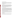### **2.0 Study of Failure Scenarios**

The potential consequences of a hydrogen release are directly related to factors inherent in the environment, the rate of release, and the quantity released. The characteristics of the potential consequences dictate where and how systems are sited. It should be noted that the cause of the release, while important in understanding it occurred, may or may not have a bearing on the potential consequences of the release.

### **2.1 Analysis Approach**

First, three hazard zones are identified, categorized by potential consequences 1) within the immediate enclosed area; 2) within a 75-ft exclusion zone; and 3) outside the NFPA 75-ft exclusion zone. Any failure scenario that produces consequences that extend beyond the NFPA exclusion zones can be considered catastrophic. The following analysis identifies three categories of likely causes of hydrogen releases for the proposed hydrogen dispenser system: 1) component failure; 2)operator error; and 3) deliberate sabotage or attack. The analysis then categorizes potential consequences according to the extent of effects. The categories chosen match operational requirements and applicable codes and regulations.

### **2.2 Categorization of Hazard Zones**

The potential siting locations, types of hydrogen storage components, and layout of the hydrogen system on the EPA facility property suggest three hazard zones categorized by potential consequences. The first is defined by small leaks, hydrogen combustion, or controlled releases of hydrogen confined within the chain-link fence isolating the system from unauthorized personnel. This area is accessed only by authorized, specially trained personnel. The second hazard zone includes scenarios with the potential for threat beyond the fencing but within the general locale of the equipment. An exclusion zone of a 75-ft radius from storage equipment is required by NFPA 50A and 50B, and the functions of the storage components in the hydrogen system are applicable. The third category represents the greatest threats that come from events with effects that reach to the buildings and beyond. Any failure scenario that produces consequences that extend beyond the NFPA exclusion zones can be considered catastrophic.

This analysis does not quantitatively assess the ability of attacks or explosives to inflict damage or of the equipment to resist damage. The degree of component or equipment failure is simply assumed, the effects of high pressure are noted, the amount of hydrogen released is estimated, and the potential effects of hydrogen combustion are evaluated. These are the factors assessed to determine consequences.

### **2.3 Analysis of Hazards**

Hazards may arise from component failure, from operational mistakes, and through sabotage or attack. Discussion of each of these potential causes for hydrogen release is given separately. Code analysis of hydrogen dispersion, mixing, and combustion is deferred until Section 2.4.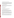### **2.3.1 Hydrogen Release Hazards Caused by Component Failures**

The hydrogen dispensing system design proposed by APCI is to provide up to 40 kg/day of high pressure gas derived from cryogenic LH2 storage. No attempt is made in this report to describe the design or operation of the system, except that the system includes an approximate 1500-gal LH2 storage tank, a pressurizing system with 6500-psi storage, and a dispensing system. The proposed system components have been examined for failures that would lead to significant releases of hydrogen. The evaluation includes the most probable occurrences of concern, low probability events with severe consequences, and venting rates.

### **2.3.1.1 Component Analysis Methodology**

The hydrogen fueling station was analyzed for component failure and resultant hydrogen release. Major components identified in the main flow path of hydrogen are included in the analysis. Minor components and instrumentation discussed in the following paragraphs are categorized by subsystem.

### **2.3.1.2 Analysis of Release by Subsystem**

Analysis is considered by subsystem.

### Liquid Storage and Vaporizer

Three categories of potential release are noted in the data received from APCI:

- o Small leaks at connections much less than 1 ft3/min of hydrogen
- $\circ$  Medium leaks at connections and valve stems around 1 to 10 ft<sup>3</sup>/min
- o Large leaks from catastrophic failure of component.

Small leaks at connections are common and may occur at any of the piping connections. Initially, the leak test required by American Society of Mechanical Engineers (ASME) B31.3 should catch any connection leakage, and regular leak checks at maintenance intervals should detect leaks early. Small connection leaks are considered the most plausible under normal conditions, and they would release very small quantities of hydrogen.

Medium-sized leaks from the fill connection, manual valve stems, and liquid vaporizer tubing are possible but are mitigated. Leaks at cryogenic liquid-fill connections are common. The estimated leak rate of less than 5 ft<sup>3</sup>/min would continue until the operator stopped the operation and fixed the leak. The extended stem on cryogenic liquid valves greatly reduces the chance of stem leakage, but it still may occur over time due to valve cycling. Initially, the leak test required by ASME B31.3 will catch any stem leakage. Regular leak checks at maintenance intervals should detect leaks early.

Large leaks from catastrophic failure of the storage vessel, the liquid isolation valve, and components such as the liquid strainer and pressure-building regulator are very unlikely without outside forces acting on the component. Piping components purchased and installed per ASME B31.3 are rated for the environment (pressure and temperature) they will experience. If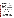any of the components in this category were to fail catastrophically, the maximum potential release would be the entire contents of the liquid storage vessel.

### Compressor System

Based on the input from APCI, component failures in the compressor system, including the gas purifier assembly can be grouped into two categories: a very small leak rate (less than 1 ft<sup>3</sup>/min); or a medium leak rate (less than 5 ft<sup>3</sup>/min).

A system leak at a connection is much more likely than one caused by a major failure, and it would result in the release of very small quantities of hydrogen.

Leaks at the connections of the compressors and inter-coolers, or those caused by major failure of the separators and purifier might have a 5  $\text{ft}^3/\text{min}$  leak develop. The leak would vent until a sensor closes a supply valve. This large of a leak is possible but unlikely with system leak checks.

### Gas Storage and Filling Station

Component failures in the gas storage and filling station areas can also be grouped into two categories based on the APCI data: small leaks, and leaks that would vent one bank of the storage cylinders. Small gas leaks at valve stems or connectors are more likely and would result in the release of very small quantities of hydrogen.

The breakaway fitting seems to be a special case, but it is handled by various safety controls. If the system works as designed, it seems unlikely that a large release would follow a breakaway fitting failure.

If the cylinders or the valves attached to either end fail, then one bank of cylinders (13 kg of gas) would be released. Since the vessels are built to ASME standards and the valves are purchased and installed per ASME B31.3, this is very unlikely under normal operating conditions.

### **2.3.1.3 Implications for Release Caused by Component Failure**

Not surprisingly, since the system is per ASME standards, the most likely event under normal operating conditions is that of small leaks at connections.<sup>4</sup> Regulators, check valves, the 37-degree flare, the current-to-pressure controller, and the nozzle are also identified as components that may be expected to leak during the planned period of system performance. The LH2 vessel and the pressure vessels have a very low probability of failure. With the exception of the nozzle, all the components in question are only approached by the vendor's maintenance personnel. Large releases caused by the failure of system components are considered unlikely; but should they occur, the consequences are explored in Section 2.4.

### **2.3.2 Hydrogen Release Hazards Caused by Operation-Induced Failure**

System operations involving personnel and the potential effects of operations unrelated to hydrogen dispensing were examined for actions that would lead to significant releases of

<sup>&</sup>lt;sup>4</sup> Small leaks at connections are common, although unwanted. Depending on the kind of leak check that is performed on a regular basis, these leaks may be found and corrected. A decay lead check may not be sensitive enough to detect this small of a leak. A portable hydrogen sensor or "bubble" test with a soap film fluid may be more likely to detect the leak.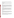hydrogen. These operations include maintenance activities, hydrogen loading operations, dispensing activities, trespassing, emergency procedures, and accidents involving other EPA operations. It is well known that human error overshadows equipment failure as the predominant cause of hydrogen incidents.

### **2.3.2.1 Discussion**

A discussion of maintenance, filling operations, dispensing, trespassing, emergency procedures, and potential accidents involving other EPA operations is given in the following paragraphs.

### **Maintenance**

Maintenance and repair operations on the hydrogen system are only conducted by vendor-trained technicians. Standard procedures for repairs involving hydrogen-wetted components require purging of the hydrogen before personnel start repairs and, if necessary, purging the air before hydrogen is again introduced to the system. Operations are performed with several personnel on hand using the "buddy system," appropriate personal protective equipment (PPE), and hydrogen detectors. Emergency shut-off switches are conveniently located. Only small hydrogen releases are expected from maintenance operations.

### Filling Operations

Supply of hydrogen to the dispensing system is performed by trained vendor crews. Operations will be coordinated in advance with EPA facility receiving staff, and the vendor crews will use the "buddy system" during the refueling operation. Barriers protect the LH2 storage tank and system from collision by the hydrogen tanker truck or other vehicles. Both the hydrogen dispensing station and the refueling truck possess automatic shutoff equipment, in case connecting lines fail or disconnect. Hydrogen gas lost during chill-down of system components during refueling is vented in a controlled manner. Only small hydrogen releases are expected from refueling operations.

### Dispensing

Training is required for vehicle operators who refuel the hydrogen-powered vehicles. The hydrogen dispensing system requires a security password, and fuel nozzle interconnects must be electronically verified before hydrogen fueling can commence. The dispensing system is designed for breakaway and automatic shutdown should a driver inadvertently drive away with the nozzle connected to the vehicle. Only small hydrogen releases can result.

### Trespassing

Trespassing and vandalism are mitigated by EPA area security and system location. Housing of the liquid and high-pressure gas handling portions of the system is behind a locked security fence. The controls described under dispensing also serve to protect the system against unauthorized use and manually inflicted damage. Only small hydrogen releases are expected to result from intruders who are just curious or bent on minor vandalism.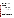### Emergency procedures

Emergency procedures for system failure modes and for EPA personnel response are not yet available for review. General system shutdown switches will be provided in accessible locations, both remote from and at the hydrogen dispensing station. The vendor will control what specific responses are taken to mitigate failure modes. The vendor's actions to mitigate an emergency should be carefully reviewed in advance of fuel-dispensing operations by the EPA. The EPA should also establish facility-wide emergency procedures in response to potentially catastrophic occurrences. Errors in judgement handling emergency situations, combined with malfunctioning instrumentation, although very rare, have led to catastrophic failures of hydrogen vessels in the past (Edeskuty and Stewart 1996). Depending on the circumstances, a large hydrogen release could occur.

### Accidents Involving Other EPA Operations

Operation of heavy vehicles, fuel tankers, and other activities that could threaten the hydrogen dispensing station should be carefully reviewed and controlled. Failure of the barricades that protect the hydrogen dispensing station from vehicles could result in a large release of hydrogen. The circumstances surrounding the release of hydrogen from a vehicle collision could be further compounded should the colliding vehicle contain fuel, oxidizing materials, or hydrogen. EPA will consider these factors in siting, design of barriers, and in planning other operations.

### **2.3.2.2 Implications for Release Caused by an Error in Operations**

The operation of the hydrogen dispensing station as a demonstration system is planned to last several years. For a project of this duration, it is realistic to expect that, from all the operations considered above, a small leak is likely to occur. A small release of hydrogen poses a safety hazard in the immediate area of the leak. A catastrophic leak of hydrogen resulting from operations is very unlikely with this system; however, consequences and considerations for catastrophic leaks are presented in the sections that consider catastrophic releases Section 2.4.

### **2.3.3 Hydrogen Release Hazards Caused by Sabotage or Attack**

Sabotage or attack differs from other scenarios in that there is a deliberate intent to make the system fail in a violent manner. There are too many ways attack or sabotage can occur to consider them individually. Therefore, the approach is to consider several likely means as examples and group them by their potential consequences.

### **2.3.3.1 Small Penetration**

Any action that causes a small penetration into a hydrogen system and leads to the unplanned release of hydrogen is considered here. Examples would include rifle fire or the use of a large crowbar to spear or shear the equipment. Consequences might include:

- $\circ$  Loss of vacuum in the vacuum annulus of the LH<sub>2</sub> storage tank, which could lead to a large heat leak and excessive venting of product through the relief system
- o A jet of LH2 or cryogenic gaseous hydrogen (GH2) from the LH2 storage tank
- o A jet of GH2 from connecting hardware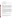- o A jet of GH2 from the pressure bottles
- o A jet of GH2 from the dispenser or fill line

Considerations can be separated for the cryogenic subsystem and the high-pressure components.

### **2.3.3.1.1 Cryogenic Vessel Subsystem**

Two cases can be considered: penetration of the outer wall, or penetration of both the outer and inner walls of the LH2 storage vessel.

### **Outer Wall**

Breaching only the outer wall introduces air to the vacuum-jacketed region, but does not release hydrogen from the inner vessel. The loss of vacuum and introduction of air will increase the heat impinging on the inner vessel and cause an increase in the rate of GH2 boil-off from the vessel. A larger heat leak caused by a bridge of frozen water or nitrogen is considered unlikely. 5 The vacuum annulus is filled, to a large extent, with thermal insulating material (pearlite or Mylar<sup>®6</sup>). This material, given a penetration of the outer wall, would slow entry of air into the annulus and significantly reduce the amount of air that can enter by displacing the available volume. Both of these effects will limit the effect of the heat incursion to the immediate area of the penetration. The relief system is specifically designed to safely vent hydrogen should vacuum be lost.

### Penetration of Inner Wall

With both walls of the vessel breached, air and hydrogen can potentially meet at some point external to the inner vessel. However, as noted above, the vacuum-jacketed space is filled with pearlite or Mylar in sufficient quantities to displace most of the volume in which a hydrogen-air mixture could form, leaving little to combust.<sup>7</sup> The hydrogen within the inner vessel is under a maximum working pressure of 150 psig and will exit in a plume or jet through the hole in the outer vessel wall. Ignition of the hydrogen outside of the outer wall might lead to further heating of the system on the outside vessel walls. Given the low emissivity of hydrogen-air reactions, radiative heating is not a major concern. External regions with direct exposure to the hydrogen combustion will experience high temperatures, but the ASME vessel design can withstand the fire. Loss of pressure in the vacuum annulus or heating of the inner vessel if sufficiently extreme, will lead to an emergency shutdown of the system. Should a fire result in an internal pressure rise greater than the maximum allowable working pressure for the volume, the relief system will protect against over-pressure (APCI Proposal).

### **2.3.3.1.2 Pressure Components**

A penetration in a pressurized line, connection, or vessel will result in a high-pressure jet of hydrogen that can impinge anywhere in the immediate vicinity of the system. Analysis by

<sup>5</sup> Private communication. Walter Stewart's telephone conversation with S. Woods, May 2003.

<sup>6</sup> Mylar® is a registered trademark of E.I. Du Pont de Nemours and Company, Wilmington, Delaware. 7 Eichelberger, D.P. APCI Proposal to US EPA RFQ #PR-CI-03-10315. *Design, Installation, Operation, and Hydrogen Supply of a Compressed Gaseous Hydrogen Refueling Station Using Delivered Liquid Hydrogen*. Air Products and Chemicals, Inc., Allentown, Pennsylvania, March 25, 2003.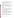PVHAZARD shows the 0.75-in. ASME construction of the cylinder walls is likely to prevent penetration by standard bullets. Smaller lines and fittings would be more difficult to specifically target. However, should a component failure occur,  $\text{TRACE}_{\text{TM}^8}$  analysis shows that, for a 0.25-in. diameter penetration of a 6000-psi vessel, the flammable region of a plume will extend no more than 9 m horizontally from the hole. This represents a worst-case scenario for both the driving pressure of the plume and the direction of the plume.

### **2.3.3.1.3 Summary**

Penetration in either the cryogenic or pressure subsystems will present a fire and/or pressure release hazard to personnel, ancillary equipment, or vehicles in the immediate area of the hydrogen dispensing system. The safety equipment incorporated into the hydrogen dispensing system will preclude the further escalation of hazards such that the exclusion zones specified by standards NFPA 50A and NFPA 50B are thought to be adequate. This reasoning applies to equipment/component failure noted in the component analysis and failures caused by attack or sabotage.

Additionally, it is noted that, in the opinion of those contributing to this report, the LH2 storage tank, ASME pressure cylinders, and compressor sections are sufficiently tough to survive an assault by direct rifle-fire.

### **2.3.3.2 Explosive Charge**

This analysis examines the consequences of the release of hydrogen. Large explosive charges with yields that far exceed the hazard posed by the hydrogen are not considered here since their effects would be greater than that of the hydrogen inventory in the dispensing system. Therefore, explosive-charges of interest might include a rocket-propelled grenade, plastic explosive, or stick(s) of dynamite. The results are distinguished from the penetrations considered above by the large size of the opening and attendant shrapnel.

### **2.3.3.2.1 Effect of Attack on the Liquid Hydrogen Vessel**

High explosives can produce a large hole or rupture of the vessel, the worst case leading to a spill of the entire contents. Ambient surface temperatures, regardless of season, are so high relative to the temperature of liquid hydrogen that the spilled LH2 will flash to a gas on contact. Heating the LH2 to 300 K will result in an 845-times increase in the volume of the hydrogen. The process of heating the liquid to a gas is rapid, with the air supplying much of the heat during mixing. The resultant mixture behaves as a plume, subject to weather conditions. The results of this scenario are characterized in Section 2.4.

### **2.3.3.2.2 Effect of Attack on the Pressure Components**

The hydrogen dispensing system uses three gas storage modules, each with 12 high-pressure steel cylinders in a 3- by 4-ft matrix. Each cylinder possesses 1.5  $\text{ft}^3$  and in operation will hold hydrogen at 6500-psig or, if released, approximately 22.2 m<sup>3</sup> at 70 °F, 1 atmosphere. Violent failure of pressure components presents several hazards possibilities:

<sup>8</sup> TRACETM (Toxic Release Analysis of Chemical Emissions), SAFER Systems, L.L.C., Camarillo, California.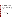- o Shrapnel due to the explosive
- o Shrapnel accelerated by the high-pressure gas
- o Rocketing of components
- o Shock waves
- o Fireball

The design of the modules is such that certain cylinders, should they fail, will act as conduits for the release of gas from all 12 cylinders. However, shrapnel from the failure of a cylinder will not penetrate adjacent cylinders; hence, by itself, the violent failure of one cylinder is not likely to cause a "cascade" failure of the other cylinders in the module. Therefore, the worst case is likely to be the sudden release of gas from one cylinder, followed by a flow of hydrogen supplied from all of the other 11 cylinders. Given the placement of the cylinders, other system equipment, and the chain-link fence, small shrapnel will be dangerous only in the immediate vicinity of the system.

Should an explosive act cleanly cut through a cylinder and simultaneously sever the cylinder from its attachments to the module, the free piece will be propelled like a rocket by the compressed hydrogen. This scenario is distinguished from small shrapnel and is extremely unlikely. The cylinders are fabricated to ASME specifications and are unlikely to undergo brittle failure. However, should this event occur, the horizontal orientation of the cylinders increases the risk for injury and greater damage. In the vertical position, a downward trajectory is stopped by the ground and upward trajectories with a small pitch will fall back to the ground near the system. It is conceivable, given the horizontal orientation that a rocketing cylinder could impinge directly on a sister storage module, and rupture another cylinder. The worst-case outcome in this scenario would be a larger impulsive release (two cylinders), followed by gas flowing from the other 22 cylinders of both modules.

Any sudden release of a gas at 6500 psig will produce a shock wave that may be deadly to personnel in close proximity. With any release of hydrogen, ignition is a possibility, so a fireball of burning hydrogen may follow its release. The explosion may not be the ignition mechanism, since it will act well before the hydrogen can form a flammable mixture with air.

### **2.3.3.3 Bonfire**

A bonfire may possess sufficient fuel to heat the system beyond the point where the internal hydrogen pressure trips the relief systems and vents. This could arise by an accident involving the delivery of other fuels at the facility or by deliberate action.

The system design and ASME construction provide fail-safe operation under considerable heating and provide redundant relief paths to allow hydrogen to be safely vented without rupture of the vessel. Boiling liquid expanding vapor explosion (BLEVE) is theoretically possible if the contents of the LH2 tank are heated above the critical point causing a BLEVE, but this is not considered a reasonable threat.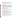### **2.3.3.4 Vehicle Collision**

Deliberate efforts to use a vehicle collision might succeed in causing extensive damage to the system. The vehicle barriers planned for this system are designed to prevent inadvertent contact by a maneuvering vehicle. Acceleration of a large ground vehicle could overcome the barrier. Impact from a small aircraft could also damage the system and release hydrogen. Either scenario, or others like it, are likely to cause a release of all the hydrogen.

### **2.4 Analysis of Released Hydrogen**

Hydrogen, with high levels of purity as found in storage systems, must mix with an oxidizer before any hazardous reaction can take place. In terrestrial hydrogen systems, air provides the greatest concern, whether hydrogen is released into the air, or air enters the hydrogen system. One line of reasoning traditionally used to establish the degree of possible hazard is to determine the greatest quantity of energetic material that can participate in an accident and determine the range of its effects. This so-called quantity-distance evaluation assumes the energetic material is premixed to provide a theoretically optimum release of energy, localized at a point, with a manner of energy release similar to solid explosives. These assumptions seldom fit hydrogen accident scenarios. Therefore, in the case of hydrogen, the key to a realistic evaluation of hazards is to determine the following:

- o How much of the released hydrogen can participate to form a combustible mixture
- o The extent of formation of the combustible mixture
- o The type of reaction (fire, deflagration, or detonation)
- o The importance of environmental factors such as temperature, wind, and the effects of confinement

A chemical dispersion code was used to evaluate dispersion of hydrogen from liquid spills and gas jets. The code also was used to evaluate combustion of hydrogen-air clouds. A pressure code helped to evaluate the release of hydrogen and shrapnel from pressurized components.

### **2.4.1 TRACE Computations for the Release of Hydrogen**

Toxic Release Analysis of Chemical Emissions (TRACE) is a state-of-the-art chemical dispersion analysis code maintained by Safer Systems, L.L.C. of Camarillo, California. The code computes the effect of turbulent diffusion and meteorological conditions upon a chemical emission according to the Pasquil model of atmospheric dispersion (Pasquil 1961), a model with wide acceptance (Burgess et al. 1976). This model assumes Gaussian distribution vertically and horizontally of a wind-borne gas entering the air from a localized source.

### **2.4.1.1 Liquid Hydrogen Spill Characteristics**

A spill could involve the entire cryogenic inventory of the LH2 vessel (approximately 1500 gal). A typical fill of the vessel would result in a saturation pressure of 60 psig. Given a large rupture, the sudden exposure of the inventory to ambient pressure or 0 psig will instantly boil or "flash" a significant portion of the liquid to cryogenic vapor. At 60 psig, 19 percent would flash, leaving approximately 1200 gal to spill onto the ground.<sup>9</sup>

Farese, David (APCI). Private communication with Don Danyko (EPA), June 13, 2003.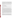Several factors influence the characteristics of cryogenic spills. Liquid hydrogen boils at 20.3 K under 1 atmosphere of pressure, so any surface at ambient temperatures will have sufficient heat to vaporize the LH2. The amount of surface to which the spilled cryogen is exposed affects the rate at which the liquid flashes to vapor and warms. The cross-sectional area of the liquid spill determines the plume diameter or cross section. At hydrogen's boiling point, the cold hydrogen vapor is heavier than air until it warms to 23 K, where it becomes neutrally buoyant. As the cold vapors mix with air, the air is chilled below the dew point, causing condensation and forming a visible cloud. After dwelling near the ground and warming sufficiently, the visible vapor cloud forms a plume as it rises.

Time-lapse photographs of LH2 spills conducted at NASA WSTF in 1980 show the general behavior of cryogenic hydrogen-air plumes (Witcofski, August 1981). For wind speeds ranging from 1.6 to 6.3 m/s, the water vapor clouds traveled 50 to 100 m near the ground, then rose at a rate of 0.5 to 1.0 m/s (Witcofski 1981).

### **2.4.1.2 Hydrogen-Air Cloud Flammability**

Several points are of interest concerning the flammability of hydrogen-air mixtures within the plumes formed by LH2 spills. From the information that follows, it was decided that 4, 8, and 18 percent-by-volume hydrogen in air would be useful levels of hydrogen to depict in TRACE computations.

The flammability limits for hydrogen-air mixtures range between 4 and 75 percent-by-volume hydrogen in air. These data are for combustion in the upward direction. It is the convention to provide this information as representative of hydrogen's flammability limits. However, flame fronts observed in hydrogen-air mixtures burn less readily when constrained to burn in a horizontal direction, and even less so in a downward direction. The lower flammability limit for downward propagation increases to 9 percent-by-volume hydrogen in air, as a direct effect of the buoyancy of hydrogen (Benz 1988). In uniform mixtures with low hydrogen concentrations (4 to 9 percent-by-volume concentration), combustion of the entire volume of a mixture in an upward direction is not complete. The combusted region tends to form a volume in the shape of a cone that expands in the upward direction, but the mixture outside of the cone is left unburned (Sherman et al. 1981). In general, the release of a large quantity of hydrogen forms a plume that possesses an increasing concentration of hydrogen towards the centerline of the plume. Initially, the central region of the plume may be above the upper flammability limit. In addition, the lowerconcentration, hydrogen-air mixtures require greater initiation energy to ignite. Flow and water vapor will also result in greater initiation energy when compared to the same composition mixture, but dry and without movement. This fact has importance in the context of a hydrogen system located where it is desirable for any release of hydrogen to rise above and clear the tops of nearby structures.

Therefore, as a plume of hydrogen rises, the exterior regions of the plume (the regions likely to encounter an ignition source) are less likely to ignite when compared to near-stoichiometric mixtures. Should ignition occur in an exterior region of the plume, only the gas in the immediate vicinity of the ignition source will tend to burn and the potential for flame propagation or deflagration throughout the cloud is reduced. Therefore, unless some process rapidly mixes the hydrogen plume to form a near-stoichiometric mixture with air throughout the cloud, the normal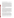factors that typically influence mixing (diffusion, buoyancy, wind, and turbulence) in a release will not result in complete combustion of the plume.

The movement of flammable mixtures can be partially deduced by observing the movement of the vapor cloud associated with a LH2 spill. From the work performed at WSTF, it was determined that the concentration of hydrogen within the water vapor clouds had to be greater than 6.8 percent to cool the air below the dew point (Witcofski, March 1981). It must be stated, however, that there is an invisible region outside of the vapor cloud, with concentrations between 4 and 6 percent hydrogen in air, that is flammable in the upward direction. However, for mixture compositions in this range, the ignition sources must have energies greater than 1 mJ, or approximately 100 times greater than the minimum ignition energy (MIE). The presence of wind or water vapor will further increase the amount of energy needed to ignite the mixture. The direct initiation of the detonation in hydrogen-air mixtures in free air (or unconfined by solid surfaces) requires high-energy shock waves, typically produced from high explosives. With confining surfaces present, smaller ignition sources initiate a flame that accelerates until a deflagration-todetonation transition can initiate detonation. Ignition sources commonly found within buildings could initiate a detonation, should some portions of a hydrogen-air plume become entrained within the associated confined spaces or ducts. Under such circumstances, the lower detonability limit<sup>10</sup> is 18 percent hydrogen in air.

### **2.4.1.3 Limitations of TRACE**

The code is designed to compute the dispersion of a gas in air as either a ground release or a low momentum stack release. The code logic assumes that any release initiated from the ground stays on the ground and there is no buoyancy. A low-momentum stack release assumes the gas enters the atmosphere through an orifice with a defined size, a bulk flow, and then buoyancy is computed. The code further checks the elevation of stack emissions for sufficient height, or it reverts to a ground computation. These two algorithms do not account for the complete observed behavior of spilled LH2. It is possible that should the hydrogen mix and diffuse sufficiently fast within the air, the bulk mixture could be dominated by the behavior of the air. However, photographs taken of the 1500-gal LH2 spill tests at NASA WSTF (Witcofski 1981) show a more complex behavior. When cryogenic hydrogen vapor mixes with air, the air temperature drops below the dew point and water vapor clouds form. Time-elapsed photographs of the vapor cloud show a short period of wind-dependent ground travel, always followed by their achieving positive buoyancy. Therefore, both TRACE algorithms must be used and connected at some point to simulate the hydrogen vapor cloud behavior.

### **2.4.1.4 Interpretation of TRACE Computations with NASA WSTF Spill Data**

Based on the behavior of hydrogen observed in cryogenic spills, the dispersion of hydrogen, using TRACE, was evaluated in two steps. The first step, a TRACE ground computation for a given wind speed, is considered for distances that match ground travel for NASA WSTF data. The second step is a low momentum stack calculation for an orifice size approximately the diameter reached by the ground spill and located at the upper elevation reached by the ground spill. An assumption was used in the selection of the temperature of the hydrogen leaving the "stack" orifice. While the hydrogen-vapor and hydrogen-air mixture is traveling near the ground, the hydrogen is warming. This warming is not computed by TRACE. Trial computations indicated that when the initial temperature of the hydrogen is at least 100 K, the plume would rise

 $10$  Initiation of detonation is a function of a variety of factors in addition to concentration. The experimentally measured detonation cell size has been shown to be the critical parameter, most useful in predicting detonation.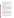at a rate simulating the cloud behavior observed during NASA WSTF tests. This is the basis for the rationale of selecting a temperature of 100 K for the initial temperature of the hydrogen as it exits the stack. From the two computations, the distance of horizontal travel was computed and compared to the elevation of cloud rise. This result was then compared to site plan distances and facility building elevations.

We note that at odds with this rationale is at temperatures below 100 K, TRACE predicted the cloud would sink back to the ground. This predicted sinking behavior runs counter to our expectations for the behavior of bulk hydrogen<sup>11</sup> above 23 K. This apparent contradiction does not necessarily mean that TRACE is wrong.<sup>12</sup> Clarification of this issue will require further investigation beyond the scope of this effort. However, the experimental evidence shows only the vapor cloud moving along the ground then rising.

### **2.4.2 Extent of Flammable Clouds**

There are several general risks presented by a hydrogen plume impinging on a structure. It is assumed the bulk-air flow would carry the plume around and/or over the structure. The greatest risk is for flash fire, which is evaluated in Section 2.4.3. Flammable mixtures aspirated into open windows or ventilation ducts will have the confinement and exposure to ignition sources necessary to allow accelerating deflagrations or detonation. The fact that most ventilation systems mix a stream of outside with internal air (make-up) will lead to a dilution of the mixture. This works to reduce hazards. Spaces created by hard surfaces create confinement that can lead to deflagration or detonation and the creation of overpressures. Confining walls that cause the wind to swirl will improve mixing of the hydrogen with the air. However, only the confined portion of the cloud will contribute to the overpressure, except in cases where the shock strength reaches the level of explosives and can impinge back on the remainder of the unconfined cloud.

The TRACE code was run for conditions that pertain to hydrogen-release scenarios in order to evaluate hydrogen concentrations downwind of the spill point.

### **2.4.2.1 Ambient Temperature Gas Release**

The hydrogen, ready for dispensing, is stored at high pressure under ambient conditions. Releases coming from this portion of the system will expand into the surrounding air, forming a buoyant plume. With a density 1/15 that of air, a plume of pure hydrogen can rise as fast as 9 m/s. Combustible regions of hydrogen and air will form at the surface of the plume where mixing occurs. Small leaks, if not ignited, will diffuse harmlessly into the atmosphere within the chain-link security fence that is planned to surround the system. Larger penetrations will result in a high-pressure jet of hydrogen. TRACE analysis of such a jet, released through a 0.25-in. penetration and oriented to produce a horizontal plume, shows a flammable plume may extend 2 to 3 m from the source. If ignited, this would create a loud jet of nearly invisible flame that would be extremely dangerous to anything in its path. The jet would only persist as long as high-

<sup>&</sup>lt;sup>11</sup> It is well known that pure hydrogen vapor is neutrally buoyant in air at 23 K and less dense than air at greater temperatures.

<sup>&</sup>lt;sup>12</sup> For example, one possible explanation can arise from hydrogen's thermal conductivity being much greater than that of air. Consider a bubble of hydrogen vapor surrounded by air with mixing between the two gases occurring along the surface of contact. The thermal conductivity of hydrogen may be sufficient to cool the air and density or even condense it in the immediate vicinity of the surface. This dense air surrounding the hydrogen would for a time, until the hydrogen warms further, cause the combined mass of cooled air and hydrogen to sink to the ground.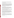pressure hydrogen is supplied, with the worst case being the entire inventory of a 12-pack pressure bottle assembly (approximately 45 to 50 lb of hydrogen at 70 °F). Without ignition, the release will safely disperse well within the 75-ft exclusion zone specified by NFPA 50B.

### **2.4.2.2 Large Spills with Little Wind**

The tests devised at WSTF in the 1980s constrained the LH2 within a 30-ft diameter pond. The 1500 gal were spilled into the pond over a period of 35 s. In one test, conducted under low wind speed conditions (4 mph), the vapor cloud initially covered a 20 m (60 ft) diameter area generally centered over the pond. From the photographs, the outer edge of the vapor cloud appears to rise at a rate of approximately 1.5 m/s. After 37 s (see the third frame) the outer edge of the vapor cloud appears approximately 50 to 60 m in elevation over the ground, 60-m distant from the spill point. Smaller wind speeds or still air will result in the hydrogen plume taking a more vertical ascent, harmlessly dissipating in the air. In general, given a small wind velocity, the NFPA exclusion zone will not provide adequate safety for this kind of hydrogen release.

### **2.4.2.3 Worst-Case Spill Scenarios**

Weather effects were evaluated to see what conditions might create greater hazards for the surrounding area. Greater wind speed will move the plume further across the ground while increasing turbulence and mixing with air. The WSTF spill tests were conducted under several different wind conditions. The data show that with an increase in wind speed the vapor cloud is "dragged" further along the ground in comparison to its elevation. However, there is indication that the vapor cloud dissipates more rapidly with higher wind speed.

Stack and ground runs were performed using TRACE for wind conditions at 4, 8, 14, and 20 mph with other parameters held constant and simulating the WSTF spill conditions.<sup>13</sup> The 8-mph case provided the closest encroachment of the hydrogen plume on the surrounding structures. Note the cloud spreads along the ground at approximately 45 mph.

The cloud cross section on the ground is approximately 20 m in diameter and, based on the WSTF data, the vapor cloud begins to rise approximately 20 m from the spill. Therefore, the horizontal axis shown in the plots must be corrected by translating the plume 20 m. A graphical analysis finds the lower 4-percent edge of the plume approximately 30 m above the ground. Such a plume originating from the recommended site would clear all neighboring buildings. The duration for passage of the plumes in all the cases is several minutes. This assessment is closely based on the results of the WSTF tests. The 1500 gal of LH2 was spilled over a 30- to 40-s period during those tests. An accident or attack might produce different spill results.

### **2.4.2.4 Release with Mitigation**

Two worthwhile strategies are to increase the rate at which the LH2 is vaporized and to reduce the diameter of the plume. Given the positions of facilities surrounding the hydrogen dispensing station, it is desirable to make a potential release of hydrogen rise as rapidly as possible. Several features have been discussed for incorporation into the facility design. These include a spill pond that contains crushed rock to enhance heat transfer to the spilled liquid, and slats inserted within the chain-link security fence.

<sup>13</sup> This includes a 30-ft diameter spill cross-section and 80 °F.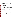TRACE computations were conducted to assess the effects of crushed rock and slatted fence on potential spills. Little information was found in the literature on how to use crushed rock to increase the rate of LH2 boil-off. Preliminary work (Zabetakis and Burgess 1961) suggests that the boil-off rate of LH2 using crushed rock is double the rate for moist sand. Installing slats within the security fence that encloses the spill pond should help direct the hydrogen plume upward as it warms rather than letting it spread out over the ground. This kind of control, known as a vapor fence or barrier, has been used to reduce vapor travel of flammable cryogenic vapors such as liquid natural gas (LNG) (Moorhouse and Roberts 1988).

This information was used to set up a TRACE stack run for an 8-mph wind, but with input to simulate double the vaporization rate. It is assumed that ground travel of the plume is stopped by the combination of the pond and a 6-ft-high<sup>14</sup> slatted fence. A chimney effect lifts the plume off the ground at the pad, and the plume clears 25m approximately 25 m from the center of the pond. This is computed to occur within 18 s.

Results suggest that the hazard might be contained within the NFPA 50B-exclusion zone should the pond and slats work as predicted by TRACE.

#### **2.4.3 Flash Fire Hazards**

Hydrogen fire has several characteristics of note. Hydrogen flames, unless seeded with impurities, are very hard to see in daylight. This property, combined with its low emissivity (puts out very little infrared radiation), makes hydrogen combustion hard to sense until physical contact is made with the flame. Hydrogen combustion in air also produces ultraviolet (UV) radiation capable of producing effects similar to overexposure to the sun. Direct exposure to hydrogen flames produces immediate burns.

Hydrogen is so easily ignited that where it is released, one should expect or be prepared for ignition and fire. The dispensing equipment is designed to ASME standards that provide redundant protection in the case of fire. Small leaks may occur and ignite, but go unnoticed until maintenance personnel enter the secure area. Leaks from a pressurized line will present a greater hazard that may extend beyond the security fence (see Section 2.3.3.1.2). A pressurized leak, whether ignited or not, will be audible, even though hard to see. A plume of hydrogen that is ignited will rapidly flash back to the source of hydrogen. From the perspective of controlling hazards, hydrogen fire localized to a source or leak is often preferable to a growing hydrogen plume.

The worst-case scenario is a large plume that, if ignited, can burn personnel or initiate other fires in readily combustible materials. TRACE computations indicate the thermal flux from an ignited hydrogen-air mixture will range between 10 to 100 kW/m2 for exposures at distances from tens of feet to near contact with the mixture. Combustion of a hydrogen cloud will occur completely within 1 to 2 seconds. There is not enough deposition of thermal energy to ignite typical materials of construction. Personnel caught in close proximity may be severely burned; and flammable liquids, if directly exposed, may be ignited.

<sup>14</sup> Woods, Stephen. Telephone conversation with Donald Danyko (EPA) September 10, 2003. Computations were performed for a 2-m fence; however, for security reasons the height was increased to 10 ft, or approximately 3 m. This will further improve the "chimney" effect.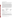#### **2.4.4 Deflagration and Detonation Hazards**

Deflagration and detonation are two modes of hydrogen combustion capable of producing high temperatures, shock waves, and high overpressures. Table 1 lists some of the characteristics of deflagrations and detonations.

Both processes require confinement such as pipes, ducts, narrowly spaced walls, or large initiation energies to occur. Keeping the hydrogen dispensing system away from structures will give plumes from a large release a chance to rise. Both detonations and energetic deflagrations require the formation of mixtures of hydrogen and air that are close to stoichiometric. In the open air, powerful explosives or very large sparks<sup>15</sup> are required to initiate detonation. In the case of attack on the system, the explosives used in the attack are not considered initiation sources since they act before the hydrogen mixes with the air. Shorts that occur within the transformer of the EPA power substation may be sufficient to initiate detonation. Although TRACE and the NASA data predict hydrogen-air plumes will clear nearby structures, if a plume were to brush up against intake ducts, a potentially detonable mixture could form in a confined space. A process that might mitigate the formation of a detonable mixture is the dilution of the mixture (as make-up air) with air already in the building. Potential spaces outside include small courtyards. Hydrogen-air mixtures swirling in spaces with walls approximately 15 ft apart or less have produced significant overpressures when ignited.16 TRACE computation of overpressure for combustion of a stoichiometric hydrogen-air mixture in free air indicated that pressures less than 0.1 psia would be produced.

| Table 1                                     |
|---------------------------------------------|
| Deflagration and Detonation Characteristics |

| Characteristic                     | Deflagration                   | Detonation                     |
|------------------------------------|--------------------------------|--------------------------------|
| <b>Energy Transport Type</b>       | Diffusion of radical species   | Shock wave                     |
| Flame Temperature                  | 2045 °C (3713 °F) <sub>a</sub> | 2674 °C (4845 °F) <sub>a</sub> |
| Flame Velocity                     | $2.7 - 1294$ m/s               | $> 1800 \text{ m/s}$           |
| <b>Rate of Pressure Onset</b>      | $1 - 100$ ms                   | $2-20 \infty s$                |
| Range of Final Pressure to Initial | $1 - 8$                        | $15 - 20$                      |
| <b>Unburned Gas Pressure</b>       |                                |                                |

a Values were computed for a stoichiometric mixture at 1 atmosphere and 300 K.

In summary, detonation or energetic deflagration is an unlikely outcome for a large hydrogen release if the system is located away from structures.

### **2.4.5 Fragment Hazards**

Analysis of potential fragment hazards was conducted using the gas code PVHAZARD. The results are theoretical in nature and should not be taken literally except to see that, at the storage pressure used in the system, gas-propelled shrapnel can reach high velocities. The results are theoretical because the released energy is evenly partitioned between the pieces, as if the vessel or component simply shattered and all the potential energy was optimally converted into the kinetic energy of the shrapnel. The code analyzes only the pressurized component and does not include

<sup>&</sup>lt;sup>15</sup> Initiation source with energy of the order of 5000 Joules.<br><sup>16</sup> Beeson, H. Communication concerning GASL accident investigation, August 2003.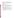the mechanical effects of the entire module structure. This is not realistic for components that meet ASME design criteria. For example, a lot of energy would be absorbed in bending and severing the metal and colliding with other system components. In addition, a lot of energy would simply be released in a shock wave and not accelerate shrapnel. Nonetheless, some shrapnel released in a component failure could attain the energies indicated.

The hazards noted here are not different in nature from the hazards in other areas where gas cylinders may be stored.

### **2.4.6 Summary of Release Hazards**

The consequences of equipment failure, operational error, accidents, attack, or sabotage can be categorized as producing one of three types of releases: a leak; a penetration (or very large leak/jet); or a rupture (a rapid emptying of the containment). If the high-pressure portion of the system is involved, the hydrogen release may be accompanied by shrapnel. The division seeks to separate the consequences of the release into three increasing levels of potential hazard to the surroundings:

- o Leaks may pose a hazard to adjacent system components or attending personnel directly exposed to combustible mixtures in the immediate vicinity of the leak. Here, the concern is for direct exposure to hot hydrogen reaction products.
- o A penetration produces a larger release that can pose a hazard to the entire fueling system and personnel or equipment near the filling station. The concern includes not only direct exposure to hydrogen combustion over a larger area, but exposure to thermal and UV radiation capable of producing burns, minor shrapnel, and the potential for secondary ignition of station components or nearby materials.
- o A rupture in the liquid storage system may pose a hazard to equipment and personnel in the greater vicinity of the fueling station, and threaten adjacent structures and public spaces located outside of the exclusion zone as specified by NFPA code. The most likely outcome from the threat is flash fire.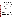### **3.0 Conceptual Siting Design**

The general requirements, code requirements, and site hazard analysis are examined to evaluate the several options for siting of the hydrogen dispenser system.

### **3.1 General Requirements Review**

General requirements arise from considerations of functionality, safety, security, and cost. The primary functional requirement for the hydrogen dispenser system is that ready access be provided for the vehicles to be fueled and for the tanker truck to refill the station. Additionally, it is desired that the area given to the dispenser system be as small as possible and that dispensing operations have minimal impact on parking and surrounding EPA activities. The hydrogen dispensing system and associated operations should be safe, posing no risks greater than current EPA operations to the personnel, operations, existing facilities, and surrounding public. The dispensing station and associated operations should not compromise the level of security at the EPA facility. The EPA is responsible for providing the pad and power infrastructure for the hydrogen system equipment leased from APCI. The cost for the infrastructure and cost for its removal after the project is complete must not be excessive.

### **3.2 Code Requirements Review**

At this time there are no codes or standards published that are specific to hydrogen dispensing stations to clarify siting requirements. However, a review of relevant existing codes and standards are provided here to help resolve siting issues.

### **3.2.1 General Considerations for Siting**

A brief discussion of general safety issues as it pertains to siting is provided here as background.

### **3.2.1.1 Safety and Siting**

Hydrogen safety issues can be summarized according to priority as follows:

- o *Combustion*: Unplanned mixing of hydrogen and oxidizing substance results in fire, deflagration, or detonation.
- o *Pressure*: System confinement fails, releasing high-pressure hydrogen or propelling fragments.
- o *Low Temperature*: Inadequate design or improper maintenance leads to the use of inappropriate materials, leading to component failure.
- o *Embrittlement*: Selection of materials susceptible to hydrogen attack leads to component or vessel wall failure.
- o *Health*: Exposure of personnel to high concentrations of hydrogen, cryogenic temperatures, fires, overpressures, and shrapnel leads to injury or health hazards. Siting, or the determination of a safe exclusion zone for operations with hydrogen, is predominantly influenced by potential combustion and pressure hazards for a given hydrogen system. Proper siting reduces health hazards, while low-temperature and embrittlement concerns may figure among the causes of a system failure.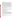### **3.2.1.2 Approaches to Siting**

Site planners have several options in choosing a basis for the determination of an exclusion zone. The simplest and most conservative approach is to consider the worst-case event conceivable and place all personnel, vulnerable equipment, and activities out of range of harm. From a military perspective, the worst-case events are overpressure and shrapnel. To facilitate siting determinations, the Department of Defense (DOD) has tabulated safe standoff distances for hydrogen used as a propellant<sup>17</sup> for military or aerospace applications. Another option is to determine siting according to the requirements of a relevant application-based standard. While there are currently few such standards for hydrogen systems, the standards for commercial storage of hydrogen are well known.<sup>18</sup> The primary assumption is that the intended use and design of the hydrogen system being sited reasonably match the assumptions inherent in the selected standard. The final option is to develop a rationale based on a study of potential releases of hydrogen and their related hazard scenarios. This rationale, usually documented through hazard analysis, must satisfy the authorities that would grant permission to operate the sited system.<sup>19</sup>

Often the determination of an exclusion zone to protect personnel and equipment is based on the traditional quantity-distance approaches to siting, where the quantity of an energetic material determines the size of an exclusion zone for safe operation. Separation distances are tabulated as a function of quantity. However, the nature of the hydrogen release, rather than the quantity or precipitating cause, has the greatest effect on siting.

### **3.2.2 Review of Mandatory Codes**

The primary mandatory regulations that apply to the installation and operation of the proposed hydrogen dispensing station come from the Occupational Safety and Health Administration (OSHA), Code of Federal Regulations Title 29. Section 1910.103, *Hydrogen*, specifies the use of the following standards:

- o NFPA 50A *Gaseous Hydrogen Systems at Consumer Sites*
- o NFPA 50B *Liquefied Hydrogen Systems at Consumer Sites*
- o NFPA 70 *National Electric Code*
- o ASME BPV *Boiler and Pressure Vessel Code*
- o ASME B31 *Code for Pressure Piping*

The requirements of OSHA 1910.119 (*Process Safety Management of Highly Hazardous Chemicals)* and Title III of the Superfund Amendments and Reauthorization Act (SARA) under Environmental Protection Agency apply only for systems that have 10,000 lb (16,900 gal) or more of hydrogen. The DoD-6055.9 document provides directives on the siting and storage of explosives and liquid propellants for aerospace purposes. Application of DoD directives to the hydrogen dispensing system is not appropriate, since the hydrogen dispensing system possesses criteria that more closely match a commercial storage system rather than a propellant system.

<sup>17</sup> DoD 6055.9. *Ammunition and Explosives Safety Standards*. 18 NFPA 50A, *Standard for Gaseous Hydrogen Systems at Consumer Sites*; and NFPA 50B. *Standard for Liquefied Hydrogen Systems at Consumer Sites*.

 $19$ This authority, or the authority having jurisdiction (AHJ), is usually an entity recognized by state and local authorities, such as the Fire Marshall.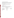### **3.2.3 Other Requirements, Standards and Guidelines**

The USEPA NVFEL as a government facility retains authority over its facilities where other than federal codes are required. However, it is prudent practice to follow local and state codes where applicable, keep local government planners and officials aware of potential hazards, and coordinate with the Fire Marshall.

Compressed Gas Association (CGA) maintains a variety of standards that serve as a good reference for recommended practice in hydrogen operations. Examples include:

- o CGA G-5 *Hydrogen*
- o CGA G-5.4 *Standard for Hydrogen Piping Systems at Consumer Locations*
- o CGA G-5.5 *Hydrogen Vent Systems*

### **3.3 Siting Review**

The requirements for the siting options identified in Section 2.0 have been reviewed against code requirements and the findings of the hazard analysis and communicated to EPA. Selected general NFPA 50A and 50B code requirements are given in Table 2.

|                                         | Table 2                      |                                 |  |  |
|-----------------------------------------|------------------------------|---------------------------------|--|--|
| <b>Selected NFPA Storage Guidelines</b> |                              |                                 |  |  |
| Type of Exclusion                       | Gas Storage (ft)<br>NFPA 50A | Liquid Storage (ft)<br>NFPA 50B |  |  |
| Places of Public Assembly               | 50                           | 75                              |  |  |
| <b>Ventilation Equipment</b>            | 50                           | 75                              |  |  |
| <b>Inlet to Underground Sewers</b>      |                              | 5                               |  |  |
| Flammable Liquids                       | 20 (above ground)            | 50                              |  |  |
|                                         | 25 (below ground)            |                                 |  |  |
| Oxidizers                               |                              | 75                              |  |  |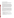### **4.0 Conclusions and Recommendations**

System failures, whether caused by component failure, operational error, or attack, have been assessed for the quantity of hydrogen released and the severity of consequences. Several conclusions and recommendations are advanced to help ensure the overall successful use of hydrogen dispensing system on the NVFEL facility.

This analysis concludes that there are different safety implications for the three regions surrounding the hydrogen dispenser system. The security fence planned around the storage equipment defines the first region. The isolation it provides can protect outside personnel from small hydrogen leaks (likely through connections sometime during the life of the facility), and from normal, controlled hydrogen releases through the system vent. The inherent safety features of the vendor-supplied equipment meet accepted industry standards and should provide excellent service. A second region, as specified by NFPA 50B, is needed for further protection of personnel against larger releases, potential fire, and minor shrapnel due to component failure. While such events are deemed unlikely to occur during the period of use planned for the dispensing system, their occurrence could pose a hazard beyond the security fence. This review concludes that training of operations personnel and observation of the exclusion zone and other precautions specified by standard NFPA 50B will provide protection against moderate threats due to component failure.

Major component failure or significant damage caused by attack, while very unlikely, would feature the release of significant quantities of hydrogen or large pieces of shrapnel that could threaten areas beyond the NFPA 50B exclusion zone, which is defined as the third region. Among these hazards, the greatest concern is for flash fire. Against this possibility, the review of the NVFEL grounds conducted in April led to the recommendation of a specific site, which was communicated, to EPA. Further conclusions are that design features such as a spill pond with gravel, and a slatted security fence to act as a vapor barrier, will improve evaporation of liquid hydrogen and promote the upward movement of hydrogen vapor above nearby structures during a large spill. In summary, the storage and dispensing of hydrogen in the planned system does present hazards, but in the context of the NVFEL facility, the hazards involving hydrogen do not appear substantially different or new.

To best mitigate the identified hazards, the following recommendations are given:

- The security fence surrounding the system must be locked to exclude all but vendor maintenance personnel.
- The exclusion zone specified by NFPA 50B should be observed for protection against unplanned minor releases of hydrogen and shrapnel.
- To provide an additional margin of safety against an unlikely large release of hydrogen, it is recommended that the infrastructure provided for the equipment incorporate a spill pond with gravel and a vapor barrier.
- Safety information must be coordinated as necessary with NVFEL personnel, non-NVFEL personnel that may work in proximity to the dispensing system, the Fire Marshall and first responders, and local authorities.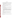## References

- 29 CFR 1910.013. Code of Federal Regulations Title 29, Labor; Part 1910 Occupational Safety and Health Administration; Section 103 *Hydrogen*. US Printing Office, Washington, DC, latest edition. www.osha.gov.
- 29 CFR 1910.119. Code of Federal Regulations Title 29, Labor; Part 1910 Occupational Safety and Health Administration; Section 119 - *Process Safety Management of Highly Hazardous Chemicals.* US Printing Office, Washington, DC, latest edition. www.osha.gov.
- ASME, *Code for Pressure Piping.* ASME B31. American Society of Mechanical Engineers, Fairfield, New Jersey, latest edition. www.asme.org.
- ASME. *Process Piping.* ASME B31.3. American Society of Mechanical Engineers, Fairfield, New Jersey, April 2002.
- ASME. *Boiler and Pressure Vessel Code.* BPVC. American Society of Mechanical Engineers, Fairfield, New Jersey, 2001.
- Benz, Frank J., C. V. Bishop, and M. D. Pedley. *Ignition and Thermal Hazards of Selected Aerospace Fluids*. RD-WSTF-0001, NASA Johnson Space Center White Sands Test Facility, New Mexico, October 1988.
- Burgess, D.; J. N. Murphy; M. G. Zabetakis; and H. E. Perlee. *Proceedings of Cryo '75 and Cryo'76,* "Volume of Flammable Mixture Resulting from the Atmospheric Dispersion of a Leak or Spill." S. H. Booth and R. W. Vance, Ed. Vol. 8., pp. 182-206, 1976. *Applications of Cryogenic Technology* (May 11, 1914), Alameda and Anaheim, California; Washington, D.C., and Houston, Texas. Flushing, New York: Scholium International Inc.
- CGA. *Hydrogen.* CGA G-5. 5th Ed. Compressed Gas Association, Inc., Chantilly, Virginia, October 2002.
- CGA. *Standard for Hydrogen Piping Systems at Consumer Locations.* CGA G-5.4. 2nd Ed. Compressed Gas Association, Inc., Chantilly, Virginia, September 2001.
- CGA. *Hydrogen Vent Systems.* CGA G-5.5. Compressed Gas Association, Inc., Chantilly, Virginia, December 1996.
- DoD. *Ammunition and Explosives Safety Standards*. DoD 6055.9. US Department of Defense, 2001.
- Edeskuty, F. J., and W. F. Stewart. *Safety in the Handling of Cryogenic Fluids.* Plenum Press, New York, 1996.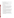- Moorhouse, J. and P. Roberts. "Cryogenic spill protection and mitigation." *Cryogenics*, Vol. 28, pp. 838 – 846, December 1988.
- NFPA. *Standard for Gaseous Hydrogen Systems at Consumer Sites.* NFPA 50A. National Fire Protection Association, Quincy, Massachusetts, 1999.
- NFPA. *Standard for Liquefied Hydrogen Systems at Consumer Sites.* NFPA 50B. National Fire Protection Association, Quincy, Massachusetts, 1999.
- NFPA. *National Electric Code.* NFPA 70. National Fire Protection Association, Quincy, Massachusetts, 2002.
- Pasquil, I. F. "The Estimation of Dispersion of Windborne Material," *Meteorological Mag.,*  Vol. 90, pp. 33-49 (1961).
- PVHAZARD. The PVHAZARD Pressure Vessel Hazard Assessment Software, sponsored by the US Air Force (45th Space Wing, PAFB) and NASA, with contributions by General Physics Corporation, ACTA, Inc., and Aerospace Corporation. Most recent version.
- Sherman, M. P., M. R. Baer, and S. K. Griffiths. *Deliberate Ignition and Water Fogs as H2 Control Measures for Sequoyah.* Workshop on the Impact of Hydrogen on Water Reactor Safety, Albuquerque, New Mexico, January 25-28, 1981.
- TRACE<sub>TM</sub> (Toxic Release Analysis of Chemical Emissions); SAFER Systems, L.L.C., Camarillo, California, most recent version.
- Witcofski, R. D. *An Overview of Completed Simulated Storage Tank Rupture Experiments and Proposed Pipe Rupture Experiments.* Liquid Hydrogen Spill Experiments, Aeronautical Systems Division, NASA Langley Research Center, Hampton, Virginia, March 1981.
- Witcofski, R. D., NASA Langley Research Center. "Dispersion of Flammable Vapor Clouds Resulting from Large Spills of Liquid Hydrogen." In *16th Intersociety Energy Conversion Engineering Conference, Vol. 2,* pp. 1436-1443 (Paper No. 819630; AIAA Paper A82-11789), August 1981.
- Witcofski, R. D., NASA Langley Research Center. "Experimental Measurements of the Dispersion of Flammable Clouds Formed by Liquid Hydrogen Spills." In *JANNAF Proceedings of Safety and Environmental Protection Subcommittee Meeting*, 1981.
- Zabetakis, M. G. and D. S. Burgess. "Research on the Hazards Associated with the Production and Handling of Liquid Hydrogen." *Report of Investigations 5705*, Bureau of Mines, US Department of the Interior, 1961.